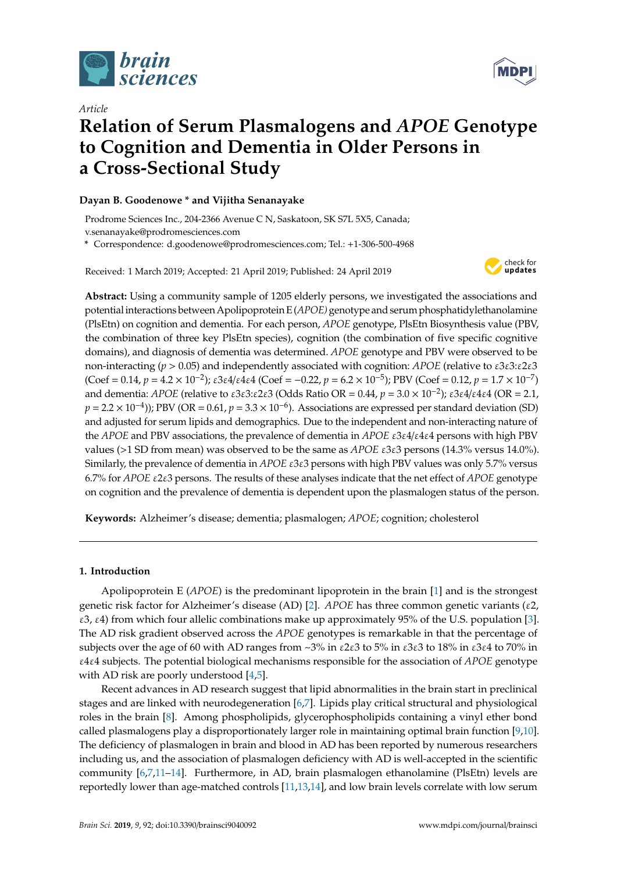

*Article*



# **Relation of Serum Plasmalogens and** *APOE* **Genotype to Cognition and Dementia in Older Persons in a Cross-Sectional Study**

## **Dayan B. Goodenowe \* and Vijitha Senanayake**

Prodrome Sciences Inc., 204-2366 Avenue C N, Saskatoon, SK S7L 5X5, Canada;

v.senanayake@prodromesciences.com

**\*** Correspondence: d.goodenowe@prodromesciences.com; Tel.: +1-306-500-4968

Received: 1 March 2019; Accepted: 21 April 2019; Published: 24 April 2019



**Abstract:** Using a community sample of 1205 elderly persons, we investigated the associations and potentialinteractions between Apolipoprotein E (*APOE)* genotype and serum phosphatidylethanolamine (PlsEtn) on cognition and dementia. For each person, *APOE* genotype, PlsEtn Biosynthesis value (PBV, the combination of three key PlsEtn species), cognition (the combination of five specific cognitive domains), and diagnosis of dementia was determined. *APOE* genotype and PBV were observed to be non-interacting (*p* > 0.05) and independently associated with cognition: *APOE* (relative to ε3ε3:ε2ε3  $(\text{Coef} = 0.14, p = 4.2 \times 10^{-2})$ ;  $\varepsilon 3\varepsilon 4/\varepsilon 4\varepsilon 4$  (Coef = -0.22,  $p = 6.2 \times 10^{-5}$ ); PBV (Coef = 0.12,  $p = 1.7 \times 10^{-7}$ ) and dementia: *APOE* (relative to ε3ε3:ε2ε3 (Odds Ratio OR = 0.44, *p* = 3.0 × 10<sup>-2</sup>); ε3ε4/ε4ε4 (OR = 2.1,  $p = 2.2 \times 10^{-4}$ )); PBV (OR = 0.61,  $p = 3.3 \times 10^{-6}$ ). Associations are expressed per standard deviation (SD) and adjusted for serum lipids and demographics. Due to the independent and non-interacting nature of the *APOE* and PBV associations, the prevalence of dementia in *APOE* ε3ε4/ε4ε4 persons with high PBV values (>1 SD from mean) was observed to be the same as *APOE* ε3ε3 persons (14.3% versus 14.0%). Similarly, the prevalence of dementia in *APOE* ε3ε3 persons with high PBV values was only 5.7% versus 6.7% for *APOE* ε2ε3 persons. The results of these analyses indicate that the net effect of *APOE* genotype on cognition and the prevalence of dementia is dependent upon the plasmalogen status of the person.

**Keywords:** Alzheimer's disease; dementia; plasmalogen; *APOE*; cognition; cholesterol

## **1. Introduction**

Apolipoprotein E (*APOE*) is the predominant lipoprotein in the brain [\[1\]](#page-10-0) and is the strongest genetic risk factor for Alzheimer's disease (AD) [\[2\]](#page-10-1). *APOE* has three common genetic variants (ε2, ε3, ε4) from which four allelic combinations make up approximately 95% of the U.S. population [\[3\]](#page-10-2). The AD risk gradient observed across the *APOE* genotypes is remarkable in that the percentage of subjects over the age of 60 with AD ranges from  $\sim$ 3% in  $\epsilon$ 2 $\epsilon$ 3 to 5% in  $\epsilon$ 3 $\epsilon$ 3 to 18% in  $\epsilon$ 3 $\epsilon$ 4 to 70% in ε4ε4 subjects. The potential biological mechanisms responsible for the association of *APOE* genotype with AD risk are poorly understood [\[4](#page-10-3)[,5\]](#page-10-4).

Recent advances in AD research suggest that lipid abnormalities in the brain start in preclinical stages and are linked with neurodegeneration [\[6](#page-10-5)[,7\]](#page-10-6). Lipids play critical structural and physiological roles in the brain [\[8\]](#page-10-7). Among phospholipids, glycerophospholipids containing a vinyl ether bond called plasmalogens play a disproportionately larger role in maintaining optimal brain function [\[9](#page-10-8)[,10\]](#page-10-9). The deficiency of plasmalogen in brain and blood in AD has been reported by numerous researchers including us, and the association of plasmalogen deficiency with AD is well-accepted in the scientific community [\[6,](#page-10-5)[7](#page-10-6)[,11–](#page-10-10)[14\]](#page-10-11). Furthermore, in AD, brain plasmalogen ethanolamine (PlsEtn) levels are reportedly lower than age-matched controls [\[11](#page-10-10)[,13,](#page-10-12)[14\]](#page-10-11), and low brain levels correlate with low serum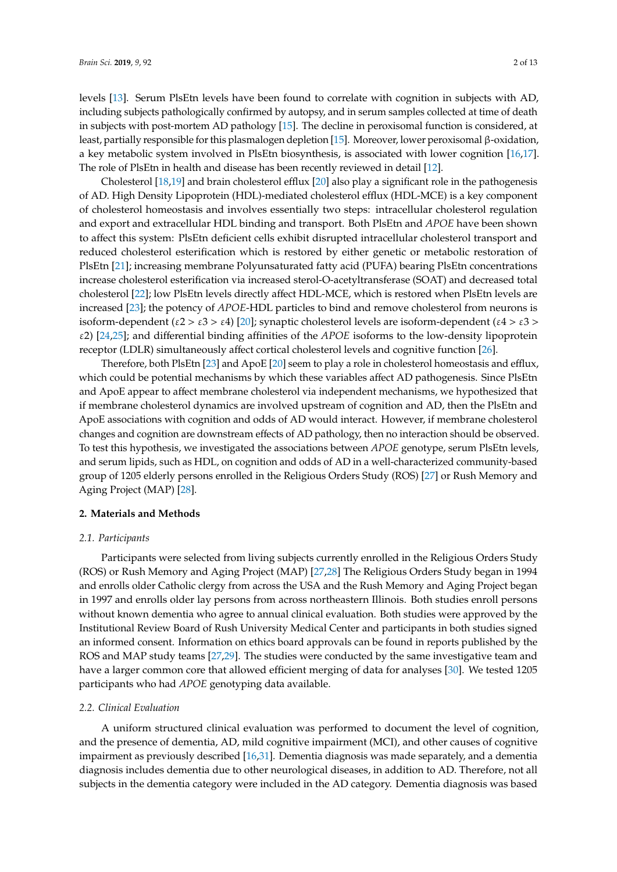levels [\[13\]](#page-10-12). Serum PlsEtn levels have been found to correlate with cognition in subjects with AD, including subjects pathologically confirmed by autopsy, and in serum samples collected at time of death in subjects with post-mortem AD pathology [\[15\]](#page-10-13). The decline in peroxisomal function is considered, at least, partially responsible for this plasmalogen depletion [\[15\]](#page-10-13). Moreover, lower peroxisomal β-oxidation, a key metabolic system involved in PlsEtn biosynthesis, is associated with lower cognition [\[16](#page-10-14)[,17\]](#page-10-15). The role of PlsEtn in health and disease has been recently reviewed in detail [\[12\]](#page-10-16).

Cholesterol [\[18](#page-11-0)[,19\]](#page-11-1) and brain cholesterol efflux [\[20\]](#page-11-2) also play a significant role in the pathogenesis of AD. High Density Lipoprotein (HDL)-mediated cholesterol efflux (HDL-MCE) is a key component of cholesterol homeostasis and involves essentially two steps: intracellular cholesterol regulation and export and extracellular HDL binding and transport. Both PlsEtn and *APOE* have been shown to affect this system: PlsEtn deficient cells exhibit disrupted intracellular cholesterol transport and reduced cholesterol esterification which is restored by either genetic or metabolic restoration of PlsEtn [\[21\]](#page-11-3); increasing membrane Polyunsaturated fatty acid (PUFA) bearing PlsEtn concentrations increase cholesterol esterification via increased sterol-O-acetyltransferase (SOAT) and decreased total cholesterol [\[22\]](#page-11-4); low PlsEtn levels directly affect HDL-MCE, which is restored when PlsEtn levels are increased [\[23\]](#page-11-5); the potency of *APOE*-HDL particles to bind and remove cholesterol from neurons is isoform-dependent ( $\epsilon 2 > \epsilon 3 > \epsilon 4$ ) [\[20\]](#page-11-2); synaptic cholesterol levels are isoform-dependent ( $\epsilon 4 > \epsilon 3 >$ ε2) [\[24](#page-11-6)[,25\]](#page-11-7); and differential binding affinities of the *APOE* isoforms to the low-density lipoprotein receptor (LDLR) simultaneously affect cortical cholesterol levels and cognitive function [\[26\]](#page-11-8).

Therefore, both PlsEtn [\[23\]](#page-11-5) and ApoE [\[20\]](#page-11-2) seem to play a role in cholesterol homeostasis and efflux, which could be potential mechanisms by which these variables affect AD pathogenesis. Since PlsEtn and ApoE appear to affect membrane cholesterol via independent mechanisms, we hypothesized that if membrane cholesterol dynamics are involved upstream of cognition and AD, then the PlsEtn and ApoE associations with cognition and odds of AD would interact. However, if membrane cholesterol changes and cognition are downstream effects of AD pathology, then no interaction should be observed. To test this hypothesis, we investigated the associations between *APOE* genotype, serum PlsEtn levels, and serum lipids, such as HDL, on cognition and odds of AD in a well-characterized community-based group of 1205 elderly persons enrolled in the Religious Orders Study (ROS) [\[27\]](#page-11-9) or Rush Memory and Aging Project (MAP) [\[28\]](#page-11-10).

#### **2. Materials and Methods**

#### *2.1. Participants*

Participants were selected from living subjects currently enrolled in the Religious Orders Study (ROS) or Rush Memory and Aging Project (MAP) [\[27,](#page-11-9)[28\]](#page-11-10) The Religious Orders Study began in 1994 and enrolls older Catholic clergy from across the USA and the Rush Memory and Aging Project began in 1997 and enrolls older lay persons from across northeastern Illinois. Both studies enroll persons without known dementia who agree to annual clinical evaluation. Both studies were approved by the Institutional Review Board of Rush University Medical Center and participants in both studies signed an informed consent. Information on ethics board approvals can be found in reports published by the ROS and MAP study teams [\[27](#page-11-9)[,29\]](#page-11-11). The studies were conducted by the same investigative team and have a larger common core that allowed efficient merging of data for analyses [\[30\]](#page-11-12). We tested 1205 participants who had *APOE* genotyping data available.

#### *2.2. Clinical Evaluation*

A uniform structured clinical evaluation was performed to document the level of cognition, and the presence of dementia, AD, mild cognitive impairment (MCI), and other causes of cognitive impairment as previously described [\[16,](#page-10-14)[31\]](#page-11-13). Dementia diagnosis was made separately, and a dementia diagnosis includes dementia due to other neurological diseases, in addition to AD. Therefore, not all subjects in the dementia category were included in the AD category. Dementia diagnosis was based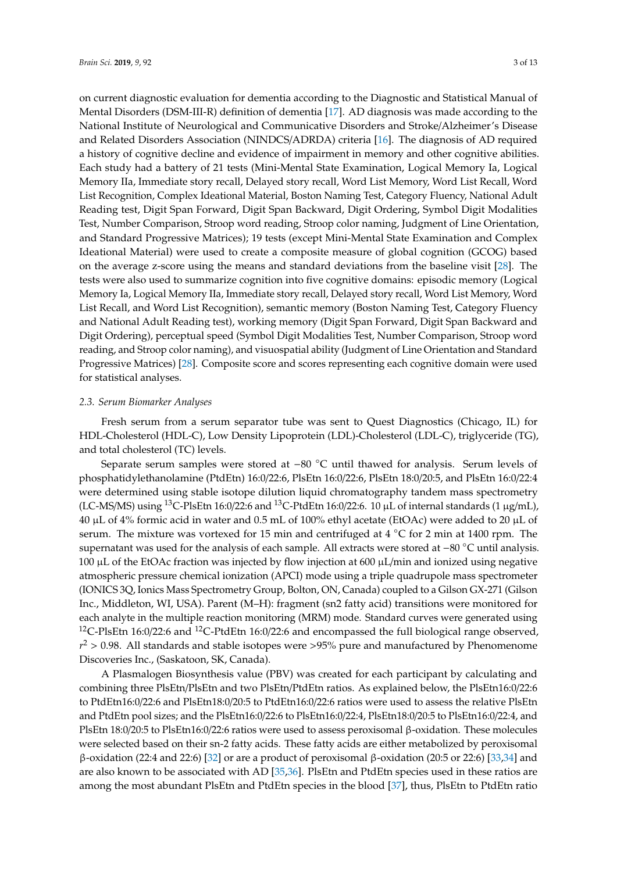on current diagnostic evaluation for dementia according to the Diagnostic and Statistical Manual of Mental Disorders (DSM-III-R) definition of dementia [\[17\]](#page-10-15). AD diagnosis was made according to the National Institute of Neurological and Communicative Disorders and Stroke/Alzheimer's Disease and Related Disorders Association (NINDCS/ADRDA) criteria [\[16\]](#page-10-14). The diagnosis of AD required a history of cognitive decline and evidence of impairment in memory and other cognitive abilities. Each study had a battery of 21 tests (Mini-Mental State Examination, Logical Memory Ia, Logical Memory IIa, Immediate story recall, Delayed story recall, Word List Memory, Word List Recall, Word List Recognition, Complex Ideational Material, Boston Naming Test, Category Fluency, National Adult Reading test, Digit Span Forward, Digit Span Backward, Digit Ordering, Symbol Digit Modalities Test, Number Comparison, Stroop word reading, Stroop color naming, Judgment of Line Orientation, and Standard Progressive Matrices); 19 tests (except Mini-Mental State Examination and Complex Ideational Material) were used to create a composite measure of global cognition (GCOG) based on the average z-score using the means and standard deviations from the baseline visit [\[28\]](#page-11-10). The tests were also used to summarize cognition into five cognitive domains: episodic memory (Logical Memory Ia, Logical Memory IIa, Immediate story recall, Delayed story recall, Word List Memory, Word List Recall, and Word List Recognition), semantic memory (Boston Naming Test, Category Fluency and National Adult Reading test), working memory (Digit Span Forward, Digit Span Backward and Digit Ordering), perceptual speed (Symbol Digit Modalities Test, Number Comparison, Stroop word reading, and Stroop color naming), and visuospatial ability (Judgment of Line Orientation and Standard Progressive Matrices) [\[28\]](#page-11-10). Composite score and scores representing each cognitive domain were used for statistical analyses.

#### *2.3. Serum Biomarker Analyses*

Fresh serum from a serum separator tube was sent to Quest Diagnostics (Chicago, IL) for HDL-Cholesterol (HDL-C), Low Density Lipoprotein (LDL)-Cholesterol (LDL-C), triglyceride (TG), and total cholesterol (TC) levels.

Separate serum samples were stored at −80 ◦C until thawed for analysis. Serum levels of phosphatidylethanolamine (PtdEtn) 16:0/22:6, PlsEtn 16:0/22:6, PlsEtn 18:0/20:5, and PlsEtn 16:0/22:4 were determined using stable isotope dilution liquid chromatography tandem mass spectrometry (LC-MS/MS) using <sup>13</sup>C-PlsEtn 16:0/22:6 and <sup>13</sup>C-PtdEtn 16:0/22:6. 10 µL of internal standards (1 µg/mL), 40 µL of 4% formic acid in water and 0.5 mL of 100% ethyl acetate (EtOAc) were added to 20 µL of serum. The mixture was vortexed for 15 min and centrifuged at 4  $°C$  for 2 min at 1400 rpm. The supernatant was used for the analysis of each sample. All extracts were stored at −<sup>80</sup> ◦C until analysis. 100  $\mu$ L of the EtOAc fraction was injected by flow injection at 600  $\mu$ L/min and ionized using negative atmospheric pressure chemical ionization (APCI) mode using a triple quadrupole mass spectrometer (IONICS 3Q, Ionics Mass Spectrometry Group, Bolton, ON, Canada) coupled to a Gilson GX-271 (Gilson Inc., Middleton, WI, USA). Parent (M–H): fragment (sn2 fatty acid) transitions were monitored for each analyte in the multiple reaction monitoring (MRM) mode. Standard curves were generated using <sup>12</sup>C-PlsEtn 16:0/22:6 and <sup>12</sup>C-PtdEtn 16:0/22:6 and encompassed the full biological range observed,  $r^2 > 0.98$ . All standards and stable isotopes were  $>95\%$  pure and manufactured by Phenomenome Discoveries Inc., (Saskatoon, SK, Canada).

A Plasmalogen Biosynthesis value (PBV) was created for each participant by calculating and combining three PlsEtn/PlsEtn and two PlsEtn/PtdEtn ratios. As explained below, the PlsEtn16:0/22:6 to PtdEtn16:0/22:6 and PlsEtn18:0/20:5 to PtdEtn16:0/22:6 ratios were used to assess the relative PlsEtn and PtdEtn pool sizes; and the PlsEtn16:0/22:6 to PlsEtn16:0/22:4, PlsEtn18:0/20:5 to PlsEtn16:0/22:4, and PlsEtn 18:0/20:5 to PlsEtn16:0/22:6 ratios were used to assess peroxisomal β-oxidation. These molecules were selected based on their sn-2 fatty acids. These fatty acids are either metabolized by peroxisomal β-oxidation (22:4 and 22:6) [\[32\]](#page-11-14) or are a product of peroxisomal β-oxidation (20:5 or 22:6) [\[33,](#page-11-15)[34\]](#page-11-16) and are also known to be associated with AD [\[35,](#page-11-17)[36\]](#page-11-18). PlsEtn and PtdEtn species used in these ratios are among the most abundant PlsEtn and PtdEtn species in the blood [\[37\]](#page-12-0), thus, PlsEtn to PtdEtn ratio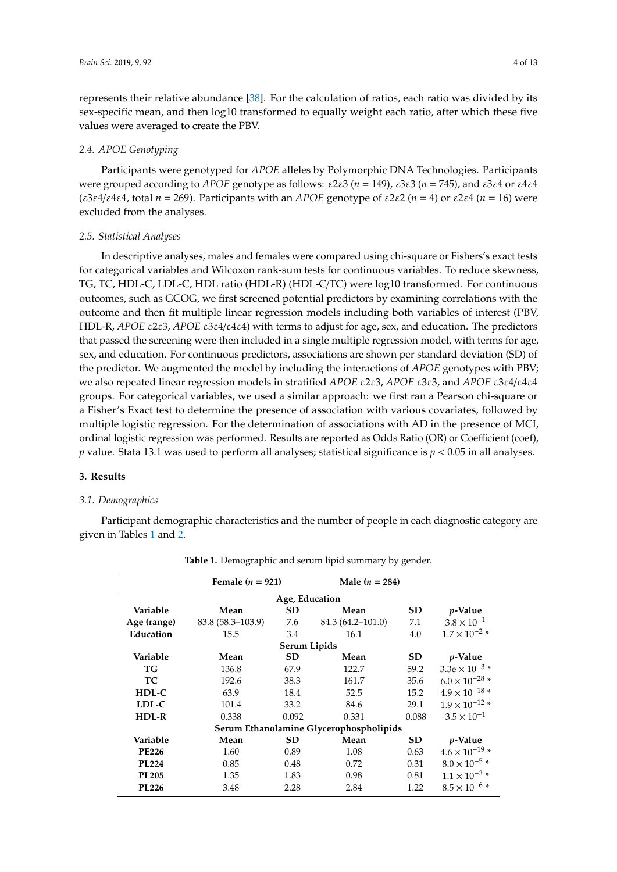represents their relative abundance [\[38\]](#page-12-1). For the calculation of ratios, each ratio was divided by its sex-specific mean, and then log10 transformed to equally weight each ratio, after which these five values were averaged to create the PBV.

### *2.4. APOE Genotyping*

Participants were genotyped for *APOE* alleles by Polymorphic DNA Technologies. Participants were grouped according to *APOE* genotype as follows: ε2ε3 (*n* = 149), ε3ε3 (*n* = 745), and ε3ε4 or ε4ε4 (ε3ε4/ε4ε4, total *n* = 269). Participants with an *APOE* genotype of ε2ε2 (*n* = 4) or ε2ε4 (*n* = 16) were excluded from the analyses.

#### *2.5. Statistical Analyses*

In descriptive analyses, males and females were compared using chi-square or Fishers's exact tests for categorical variables and Wilcoxon rank-sum tests for continuous variables. To reduce skewness, TG, TC, HDL-C, LDL-C, HDL ratio (HDL-R) (HDL-C/TC) were log10 transformed. For continuous outcomes, such as GCOG, we first screened potential predictors by examining correlations with the outcome and then fit multiple linear regression models including both variables of interest (PBV, HDL-R, *APOE* ε2ε3, *APOE* ε3ε4/ε4ε4) with terms to adjust for age, sex, and education. The predictors that passed the screening were then included in a single multiple regression model, with terms for age, sex, and education. For continuous predictors, associations are shown per standard deviation (SD) of the predictor. We augmented the model by including the interactions of *APOE* genotypes with PBV; we also repeated linear regression models in stratified *APOE* ε2ε3, *APOE* ε3ε3, and *APOE* ε3ε4/ε4ε4 groups. For categorical variables, we used a similar approach: we first ran a Pearson chi-square or a Fisher's Exact test to determine the presence of association with various covariates, followed by multiple logistic regression. For the determination of associations with AD in the presence of MCI, ordinal logistic regression was performed. Results are reported as Odds Ratio (OR) or Coefficient (coef), *p* value. Stata 13.1 was used to perform all analyses; statistical significance is *p* < 0.05 in all analyses.

#### **3. Results**

#### *3.1. Demographics*

Participant demographic characteristics and the number of people in each diagnostic category are given in Tables [1](#page-4-0) and [2.](#page-4-1)

|                                         | Female $(n = 921)$   |              | Male $(n = 284)$  |           |                         |  |  |
|-----------------------------------------|----------------------|--------------|-------------------|-----------|-------------------------|--|--|
| Age, Education                          |                      |              |                   |           |                         |  |  |
| Variable                                | Mean                 | <b>SD</b>    | Mean              | <b>SD</b> | <i>p</i> -Value         |  |  |
| Age (range)                             | $83.8(58.3 - 103.9)$ | 7.6          | 84.3 (64.2–101.0) | 7.1       | $3.8 \times 10^{-1}$    |  |  |
| Education                               | 15.5                 | 3.4          | 16.1              | 4.0       | $1.7 \times 10^{-2}$ *  |  |  |
|                                         |                      | Serum Lipids |                   |           |                         |  |  |
| Variable                                | Mean                 | <b>SD</b>    | Mean              | SD        | <i>p</i> -Value         |  |  |
| <b>TG</b>                               | 136.8                | 67.9         | 122.7             | 59.2      | $3.3e \times 10^{-3}$ * |  |  |
| <b>TC</b>                               | 192.6                | 38.3         | 161.7             | 35.6      | $6.0 \times 10^{-28}$ * |  |  |
| HDL-C                                   | 63.9                 | 18.4         | 52.5              | 15.2      | $4.9 \times 10^{-18}$ * |  |  |
| LDL-C                                   | 101.4                | 33.2         | 84.6              | 29.1      | $1.9 \times 10^{-12}$ * |  |  |
| HDL-R                                   | 0.338                | 0.092        | 0.331             | 0.088     | $3.5 \times 10^{-1}$    |  |  |
| Serum Ethanolamine Glycerophospholipids |                      |              |                   |           |                         |  |  |
| Variable                                | Mean                 | <b>SD</b>    | Mean              | <b>SD</b> | <i>p</i> -Value         |  |  |
| <b>PE226</b>                            | 1.60                 | 0.89         | 1.08              | 0.63      | $4.6\times10^{-19}$ *   |  |  |
| <b>PL224</b>                            | 0.85                 | 0.48         | 0.72              | 0.31      | $8.0 \times 10^{-5}$ *  |  |  |
| <b>PL205</b>                            | 1.35                 | 1.83         | 0.98              | 0.81      | $1.1 \times 10^{-3}$ *  |  |  |
| PL226                                   | 3.48                 | 2.28         | 2.84              | 1.22      | $8.5 \times 10^{-6}$ *  |  |  |

**Table 1.** Demographic and serum lipid summary by gender.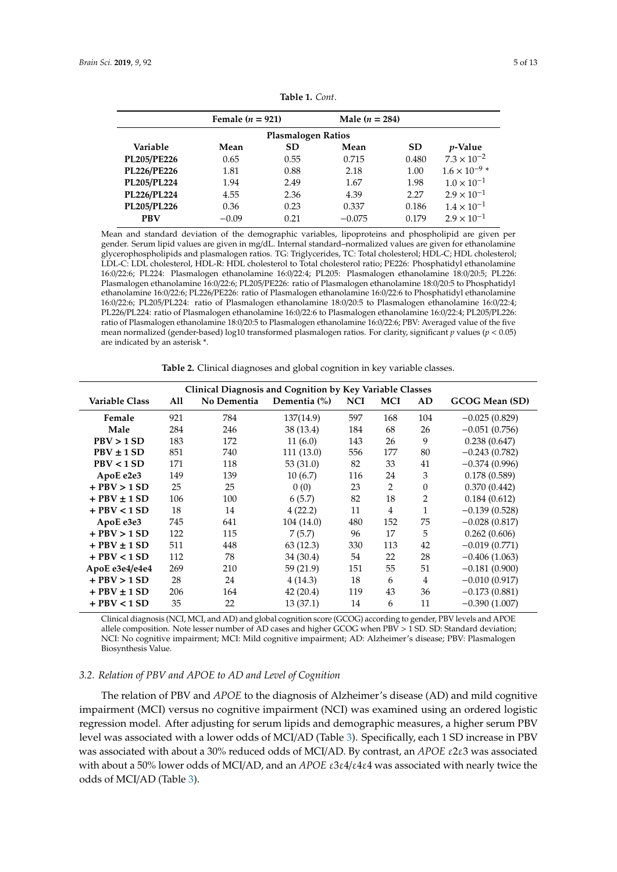<span id="page-4-0"></span>

|                           | Female $(n = 921)$ |           | Male $(n = 284)$ |           |                        |  |  |
|---------------------------|--------------------|-----------|------------------|-----------|------------------------|--|--|
| <b>Plasmalogen Ratios</b> |                    |           |                  |           |                        |  |  |
| Variable                  | Mean               | <b>SD</b> | Mean             | <b>SD</b> | <i>p</i> -Value        |  |  |
| PL205/PE226               | 0.65               | 0.55      | 0.715            | 0.480     | $7.3 \times 10^{-2}$   |  |  |
| <b>PL226/PE226</b>        | 1.81               | 0.88      | 2.18             | 1.00      | $1.6 \times 10^{-9}$ * |  |  |
| PL205/PL224               | 1.94               | 2.49      | 1.67             | 1.98      | $1.0 \times 10^{-1}$   |  |  |
| PL226/PL224               | 4.55               | 2.36      | 4.39             | 2.27      | $2.9 \times 10^{-1}$   |  |  |
| PL205/PL226               | 0.36               | 0.23      | 0.337            | 0.186     | $1.4 \times 10^{-1}$   |  |  |
| <b>PBV</b>                | $-0.09$            | 0.21      | $-0.075$         | 0.179     | $2.9 \times 10^{-1}$   |  |  |

**Table 1.** *Cont*.

Mean and standard deviation of the demographic variables, lipoproteins and phospholipid are given per gender. Serum lipid values are given in mg/dL. Internal standard–normalized values are given for ethanolamine glycerophospholipids and plasmalogen ratios. TG: Triglycerides, TC: Total cholesterol; HDL-C; HDL cholesterol; LDL-C: LDL cholesterol, HDL-R: HDL cholesterol to Total cholesterol ratio; PE226: Phosphatidyl ethanolamine 16:0/22:6; PL224: Plasmalogen ethanolamine 16:0/22:4; PL205: Plasmalogen ethanolamine 18:0/20:5; PL226: Plasmalogen ethanolamine 16:0/22:6; PL205/PE226: ratio of Plasmalogen ethanolamine 18:0/20:5 to Phosphatidyl ethanolamine 16:0/22:6; PL226/PE226: ratio of Plasmalogen ethanolamine 16:0/22:6 to Phosphatidyl ethanolamine 16:0/22:6; PL205/PL224: ratio of Plasmalogen ethanolamine 18:0/20:5 to Plasmalogen ethanolamine 16:0/22:4; PL226/PL224: ratio of Plasmalogen ethanolamine 16:0/22:6 to Plasmalogen ethanolamine 16:0/22:4; PL205/PL226: ratio of Plasmalogen ethanolamine 18:0/20:5 to Plasmalogen ethanolamine 16:0/22:6; PBV: Averaged value of the five mean normalized (gender-based) log10 transformed plasmalogen ratios. For clarity, significant *p* values (*p* < 0.05) are indicated by an asterisk \*.

| <b>Table 2.</b> Clinical diagnoses and global cognition in key variable classes. |  |  |
|----------------------------------------------------------------------------------|--|--|
|----------------------------------------------------------------------------------|--|--|

<span id="page-4-1"></span>

| Clinical Diagnosis and Cognition by Key Variable Classes |     |             |              |            |            |                |                 |
|----------------------------------------------------------|-----|-------------|--------------|------------|------------|----------------|-----------------|
| <b>Variable Class</b>                                    | All | No Dementia | Dementia (%) | <b>NCI</b> | <b>MCI</b> | AD             | GCOG Mean (SD)  |
| Female                                                   | 921 | 784         | 137(14.9)    | 597        | 168        | 104            | $-0.025(0.829)$ |
| Male                                                     | 284 | 246         | 38 (13.4)    | 184        | 68         | 26             | $-0.051(0.756)$ |
| PBV > 1 SD                                               | 183 | 172         | 11(6.0)      | 143        | 26         | 9              | 0.238(0.647)    |
| $PBV \pm 1 SD$                                           | 851 | 740         | 111 (13.0)   | 556        | 177        | 80             | $-0.243(0.782)$ |
| PBV < 1 SD                                               | 171 | 118         | 53(31.0)     | 82         | 33         | 41             | $-0.374(0.996)$ |
| ApoE e2e3                                                | 149 | 139         | 10(6.7)      | 116        | 24         | 3              | 0.178(0.589)    |
| $+$ PBV $>$ 1 SD                                         | 25  | 25          | 0(0)         | 23         | 2          | $\theta$       | 0.370(0.442)    |
| $+$ PBV $\pm$ 1 SD                                       | 106 | 100         | 6(5.7)       | 82         | 18         | 2              | 0.184(0.612)    |
| $+$ PBV $<$ 1 SD                                         | 18  | 14          | 4(22.2)      | 11         | 4          | 1              | $-0.139(0.528)$ |
| ApoE e3e3                                                | 745 | 641         | 104 (14.0)   | 480        | 152        | 75             | $-0.028(0.817)$ |
| $+$ PBV $>$ 1 SD                                         | 122 | 115         | 7(5.7)       | 96         | 17         | 5              | 0.262(0.606)    |
| $+$ PBV $\pm$ 1 SD                                       | 511 | 448         | 63 (12.3)    | 330        | 113        | 42             | $-0.019(0.771)$ |
| $+$ PBV $<$ 1 SD                                         | 112 | 78          | 34 (30.4)    | 54         | 22         | 28             | $-0.406(1.063)$ |
| ApoE e3e4/e4e4                                           | 269 | 210         | 59 (21.9)    | 151        | 55         | 51             | $-0.181(0.900)$ |
| $+$ PBV $>$ 1 SD                                         | 28  | 24          | 4(14.3)      | 18         | 6          | $\overline{4}$ | $-0.010(0.917)$ |
| $+$ PBV $\pm$ 1 SD                                       | 206 | 164         | 42 (20.4)    | 119        | 43         | 36             | $-0.173(0.881)$ |
| $+$ PBV $<$ 1 SD                                         | 35  | 22          | 13 (37.1)    | 14         | 6          | 11             | $-0.390(1.007)$ |

Clinical diagnosis (NCI, MCI, and AD) and global cognition score (GCOG) according to gender, PBV levels and APOE allele composition. Note lesser number of AD cases and higher GCOG when PBV > 1 SD. SD: Standard deviation; NCI: No cognitive impairment; MCI: Mild cognitive impairment; AD: Alzheimer's disease; PBV: Plasmalogen Biosynthesis Value.

## *3.2. Relation of PBV and APOE to AD and Level of Cognition*

The relation of PBV and *APOE* to the diagnosis of Alzheimer's disease (AD) and mild cognitive impairment (MCI) versus no cognitive impairment (NCI) was examined using an ordered logistic regression model. After adjusting for serum lipids and demographic measures, a higher serum PBV level was associated with a lower odds of MCI/AD (Table [3\)](#page-5-0). Specifically, each 1 SD increase in PBV was associated with about a 30% reduced odds of MCI/AD. By contrast, an *APOE* ε2ε3 was associated with about a 50% lower odds of MCI/AD, and an *APOE* ε3ε4/ε4ε4 was associated with nearly twice the odds of MCI/AD (Table [3\)](#page-5-0).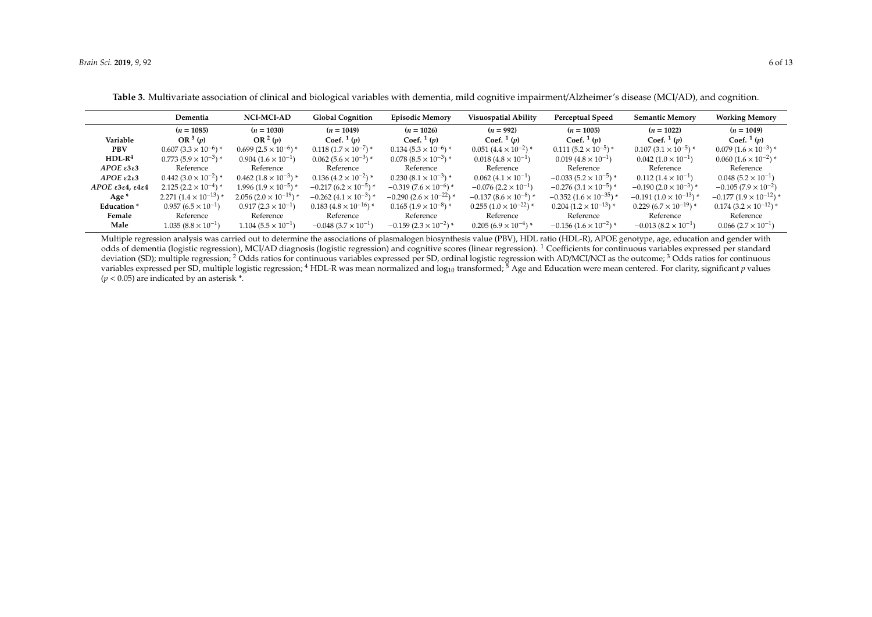|                                | Dementia                       | <b>NCI-MCI-AD</b>              | <b>Global Cognition</b>      | <b>Episodic Memory</b>         | <b>Visuospatial Ability</b>               | <b>Perceptual Speed</b>                                | <b>Semantic Memory</b>          | <b>Working Memory</b>        |
|--------------------------------|--------------------------------|--------------------------------|------------------------------|--------------------------------|-------------------------------------------|--------------------------------------------------------|---------------------------------|------------------------------|
|                                | $(n = 1085)$                   | $(n = 1030)$                   | $(n = 1049)$                 | $(n = 1026)$                   | $(n = 992)$                               | $(n = 1005)$                                           | $(n = 1022)$                    | $(n = 1049)$                 |
| Variable                       | OR $3(p)$                      | OR $2(p)$                      | Coef. $1(p)$                 | Coef. $1(p)$                   | Coef. $\frac{1}{p}$                       | Coef. $1(p)$                                           | Coef. $1(p)$                    | Coef. $1(p)$                 |
| <b>PBV</b>                     | $0.607(3.3\times10^{-6})$ *    | $0.699(2.5\times10^{-6})$ *    | $0.118(1.7\times10^{-7})$ *  | $0.134(5.3\times10^{-6})$ *    | $0.051(4.4\times10^{-2})$ *               | $0.111(5.2 \times 10^{-5})$ *                          | $0.107(3.1 \times 10^{-5})$ *   | $0.079(1.6\times10^{-3})*$   |
| $HDL-R4$                       | $0.773(5.9\times10^{-3})*$     | $0.904(1.6\times10^{-1})$      | $0.062(5.6\times10^{-3})$ *  | $0.078(8.5\times10^{-3})*$     | $0.018(4.8\times10^{-1})$                 | $0.019(4.8\times10^{-1})$                              | $0.042(1.0\times10^{-1})$       | $0.060(1.6\times10^{-2})$ *  |
| APOE $\epsilon$ 3 $\epsilon$ 3 | Reference                      | Reference                      | Reference                    | Reference                      | Reference                                 | Reference                                              | Reference                       | Reference                    |
| APOE $\epsilon$ 2 $\epsilon$ 3 | $0.442(3.0 \times 10^{-2})$ *  | $0.462(1.8\times10^{-3})*$     | $0.136(4.2\times10^{-2})$ *  | $0.230(8.1\times10^{-3})$ *    | $0.062(4.1\times10^{-1})$                 | $-0.033(5.2\times10^{-5})$ *                           | $0.112(1.4\times10^{-1})$       | $0.048~(5.2\times10^{-1})$   |
| $APOE$ ε3ε4, ε4ε4              | $2.125(2.2\times10^{-4})$ *    | $1.996(1.9\times10^{-5})*$     | $-0.217(6.2\times10^{-5})$ * | $-0.319(7.6 \times 10^{-6})$ * | $-0.076$ (2.2 $\times$ 10 <sup>-1</sup> ) | $-0.276(3.1\times10^{-5})$ *                           | $-0.190(2.0 \times 10^{-3})$ *  | $-0.105(7.9\times10^{-2})$   |
| Age *                          | $2.271(1.4 \times 10^{-13})$ * | $2.056(2.0 \times 10^{-19})$ * | $-0.262(4.1\times10^{-3})*$  | $-0.290(2.6\times10^{-22})$ *  | $-0.137(8.6\times10^{-8})*$               | $-0.352(1.6\times10^{-35})*$                           | $-0.191(1.0 \times 10^{-13})$ * | $-0.177(1.9\times10^{-12})*$ |
| Education <sup>*</sup>         | $0.957(6.5\times10^{-1})$      | $0.917(2.3\times10^{-1})$      | $0.183(4.8\times10^{-16})*$  | $0.165(1.9\times10^{-8})$ *    | $0.255(1.0 \times 10^{-22})$ *            | $0.204(1.2\times10^{-13})*$                            | $0.229(6.7\times10^{-19})*$     | $0.174(3.2\times10^{-12})$ * |
| Female                         | Reference                      | Reference                      | Reference                    | Reference                      | Reference                                 | Reference                                              | Reference                       | Reference                    |
| Male                           | $1.035(8.8\times10^{-1})$      | $1.104(5.5\times10^{-1})$      | $-0.048(3.7\times10^{-1})$   | $-0.159(2.3\times10^{-2})$ *   | $0.205(6.9\times10^{-4})*$                | $-0.156$ (1.6 $\times$ 10 <sup>-2</sup> ) <sup>*</sup> | $-0.013(8.2\times10^{-1})$      | $0.066(2.7\times10^{-1})$    |

**Table 3.** Multivariate association of clinical and biological variables with dementia, mild cognitive impairment/Alzheimer's disease (MCI/AD), and cognition.

<span id="page-5-0"></span>Multiple regression analysis was carried out to determine the associations of plasmalogen biosynthesis value (PBV), HDL ratio (HDL-R), APOE genotype, age, education and gender with odds of dementia (logistic regression), MCI/AD diagnosis (logistic regression) and cognitive scores (linear regression). <sup>1</sup> Coefficients for continuous variables expressed per standard deviation (SD); multiple regression; <sup>2</sup> Odds ratios for continuous variables expressed per SD, ordinal logistic regression with AD/MCI/NCI as the outcome; <sup>3</sup> Odds ratios for continuous variables expressed per SD, multiple logistic regression; <sup>4</sup> HDL-R was mean normalized and log<sub>10</sub> transformed; <sup>5</sup> Age and Education were mean centered. For clarity, significant *p* values  $(p < 0.05)$  are indicated by an asterisk  $*$ .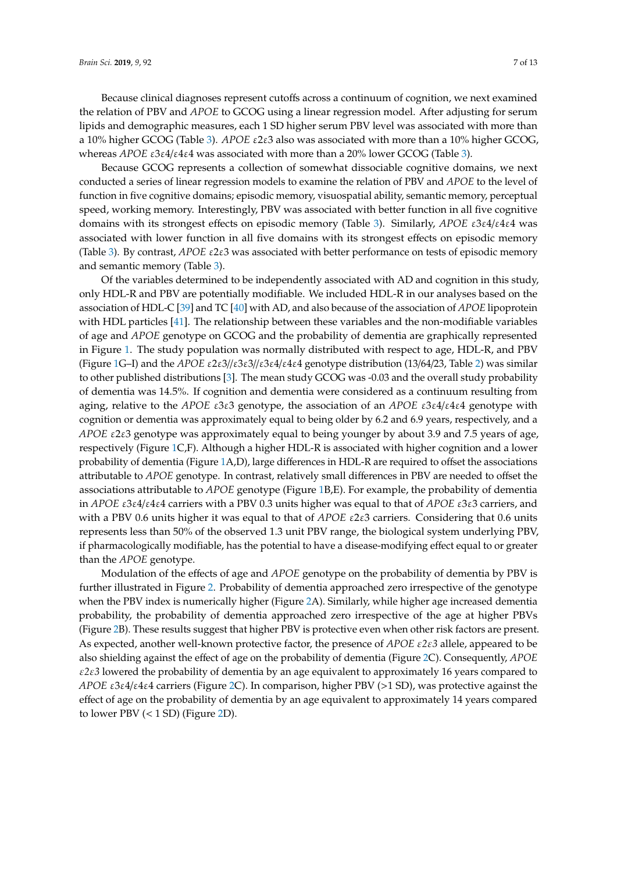Because clinical diagnoses represent cutoffs across a continuum of cognition, we next examined the relation of PBV and *APOE* to GCOG using a linear regression model. After adjusting for serum lipids and demographic measures, each 1 SD higher serum PBV level was associated with more than a 10% higher GCOG (Table [3\)](#page-5-0). *APOE* ε2ε3 also was associated with more than a 10% higher GCOG, whereas *APOE* ε3ε4/ε4ε4 was associated with more than a 20% lower GCOG (Table [3\)](#page-5-0).

Because GCOG represents a collection of somewhat dissociable cognitive domains, we next conducted a series of linear regression models to examine the relation of PBV and *APOE* to the level of function in five cognitive domains; episodic memory, visuospatial ability, semantic memory, perceptual speed, working memory. Interestingly, PBV was associated with better function in all five cognitive domains with its strongest effects on episodic memory (Table [3\)](#page-5-0). Similarly, *APOE* ε3ε4/ε4ε4 was associated with lower function in all five domains with its strongest effects on episodic memory (Table [3\)](#page-5-0). By contrast, *APOE* ε2ε3 was associated with better performance on tests of episodic memory and semantic memory (Table [3\)](#page-5-0).

Of the variables determined to be independently associated with AD and cognition in this study, only HDL-R and PBV are potentially modifiable. We included HDL-R in our analyses based on the association of HDL-C [\[39\]](#page-12-2) and TC [\[40\]](#page-12-3) with AD, and also because of the association of *APOE* lipoprotein with HDL particles [\[41\]](#page-12-4). The relationship between these variables and the non-modifiable variables of age and *APOE* genotype on GCOG and the probability of dementia are graphically represented in Figure [1.](#page-7-0) The study population was normally distributed with respect to age, HDL-R, and PBV (Figure [1G](#page-7-0)–I) and the *APOE* ε2ε3//ε3ε3//ε3ε4/ε4ε4 genotype distribution (13/64/23, Table [2\)](#page-4-1) was similar to other published distributions [\[3\]](#page-10-2). The mean study GCOG was -0.03 and the overall study probability of dementia was 14.5%. If cognition and dementia were considered as a continuum resulting from aging, relative to the *APOE* ε3ε3 genotype, the association of an *APOE* ε3ε4/ε4ε4 genotype with cognition or dementia was approximately equal to being older by 6.2 and 6.9 years, respectively, and a *APOE* ε2ε3 genotype was approximately equal to being younger by about 3.9 and 7.5 years of age, respectively (Figure [1C](#page-7-0),F). Although a higher HDL-R is associated with higher cognition and a lower probability of dementia (Figure [1A](#page-7-0),D), large differences in HDL-R are required to offset the associations attributable to *APOE* genotype. In contrast, relatively small differences in PBV are needed to offset the associations attributable to *APOE* genotype (Figure [1B](#page-7-0),E). For example, the probability of dementia in *APOE* ε3ε4/ε4ε4 carriers with a PBV 0.3 units higher was equal to that of *APOE* ε3ε3 carriers, and with a PBV 0.6 units higher it was equal to that of *APOE* ε2ε3 carriers. Considering that 0.6 units represents less than 50% of the observed 1.3 unit PBV range, the biological system underlying PBV, if pharmacologically modifiable, has the potential to have a disease-modifying effect equal to or greater than the *APOE* genotype.

Modulation of the effects of age and *APOE* genotype on the probability of dementia by PBV is further illustrated in Figure [2.](#page-8-0) Probability of dementia approached zero irrespective of the genotype when the PBV index is numerically higher (Figure [2A](#page-8-0)). Similarly, while higher age increased dementia probability, the probability of dementia approached zero irrespective of the age at higher PBVs (Figure [2B](#page-8-0)). These results suggest that higher PBV is protective even when other risk factors are present. As expected, another well-known protective factor, the presence of *APOE* ε*2*ε*3* allele, appeared to be also shielding against the effect of age on the probability of dementia (Figure [2C](#page-8-0)). Consequently, *APOE* ε*2*ε*3* lowered the probability of dementia by an age equivalent to approximately 16 years compared to *APOE* ε3ε4/ε4ε4 carriers (Figure [2C](#page-8-0)). In comparison, higher PBV (>1 SD), was protective against the effect of age on the probability of dementia by an age equivalent to approximately 14 years compared to lower PBV  $(< 1 SD)$  (Figure [2D](#page-8-0)).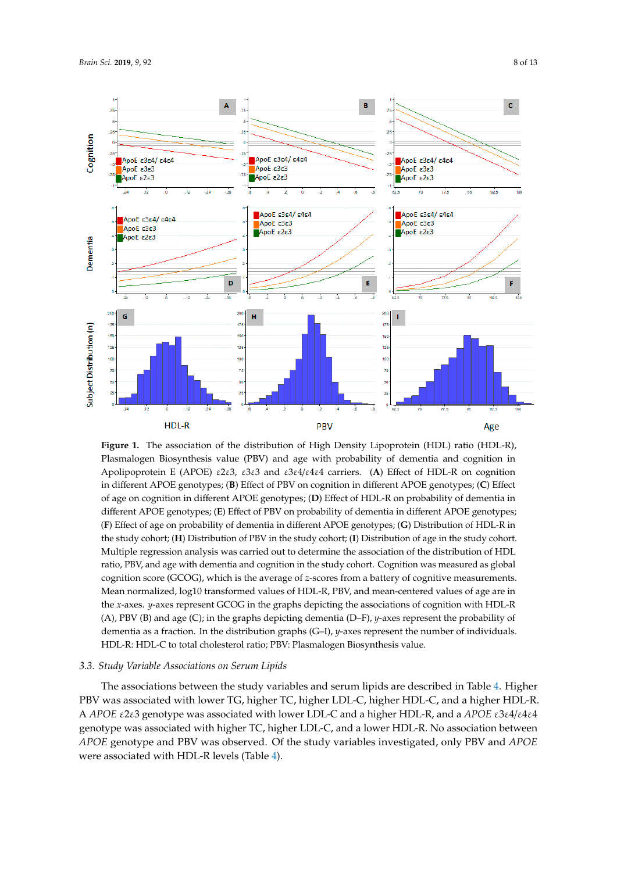<span id="page-7-0"></span>

**Figure 1.** The association of the distribution of High Density Lipoprotein (HDL) ratio (HDL-R), R), Plasmalogen Biosynthesis value (PBV) and age with probability of dementia and Apolipoprotein E (APOE) ε2ε3, ε3ε3 and ε3ε4/ε4ε4 carriers. (**A**) Effect of HDL-R on cognition in different APOE genotypes; (**B**) Effect of PBV on cognition in different APOE genotypes; (**C**) Effect of age on cognition in different APOE genotypes; (D) Effect of HDL-R on probability of dementia in different APOE genotypes; (E) Effect of PBV on probability of dementia in different APOE genotypes; (F) Effect of age on probability of dementia in different APOE genotypes; (G) Distribution of HDL-R in the study cohort; (**H**) Distribution of PBV in the study cohort; (**I**) Distribution of age in the study cohort. mumple regression anarysis was carried out to determine the association or the distribution or FIDL<br>ratio, PBV, and age with dementia and cognition in the study cohort. Cognition was measured as global ratio, PBV, and age with definition and eigenflorm in the study cohort: Cognition was included as glost.<br>cognition score (GCOG), which is the average of *z*-scores from a battery of cognitive measurements. Mean normalized, log10 transformed values of HDL-R, PBV, and mean-centered values of age are in the *x*-axes. *y*-axes represent GCOG in the graphs depicting the associations of cognition with HDL-R (A), PBV (B) and age (C); in the graphs depicting dementia (D–F), *y*-axes represent the probability of dementia as a fraction. In the distribution graphs (G–I), *y*-axes represent the number of individuals. HDL-R: HDL-C to total cholesterol ratio; PBV: Plasmalogen Biosynthesis value. Plasmalogen Biosynthesis value (PBV) and age with probability of dementia and cognition in Multiple regression analysis was carried out to determine the association of the distribution of HDL

# 3.3. Study Variable Associations on Serum Lipids

The associations between the study variables and serum lipids are described in Table [4.](#page-8-1) Higher PBV was associated with lower TG, higher TC, higher LDL-C, higher HDL-C, and a higher HDL-R. total cholesterol ratio; PBV: Plasmalogen Biosynthesis value. A *APOE* ε2ε3 genotype was associated with lower LDL-C and a higher HDL-R, and a *APOE* ε3ε4/ε4ε4 APOE genotype and PBV was observed. Of the study variables investigated, only PBV and *APOE* were associated with HDL-R levels (Table 4). genotype was associated with higher TC, higher LDL-C, and a lower HDL-R. No association between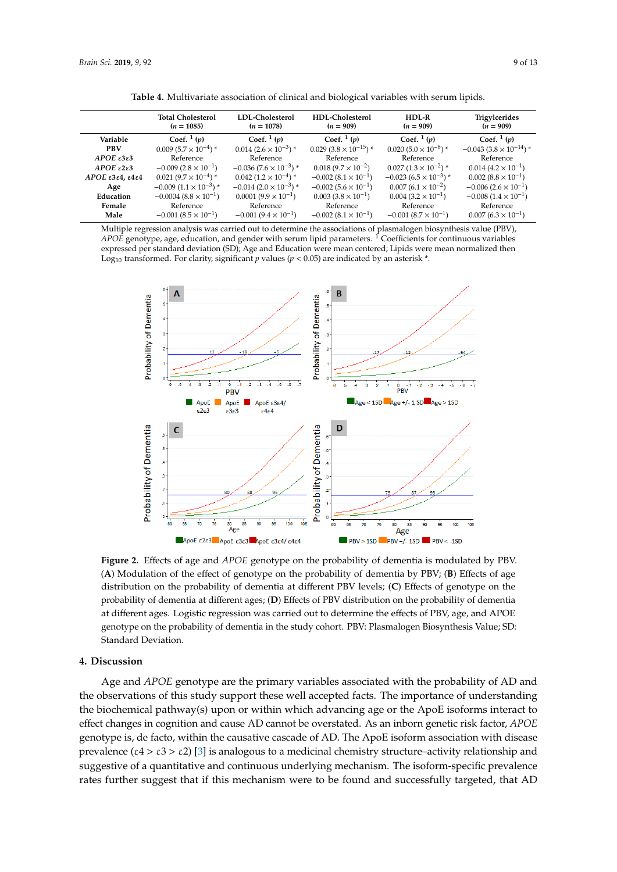<span id="page-8-1"></span>

|                                  | <b>Total Cholesterol</b><br>$(n = 1085)$ | LDL-Cholesterol<br>$(n = 1078)$ | HDL-Cholesterol<br>$(n = 909)$ | HDL-R<br>$(n = 909)$           | <b>Trigylcerides</b><br>$(n = 909)$ |
|----------------------------------|------------------------------------------|---------------------------------|--------------------------------|--------------------------------|-------------------------------------|
| Variable                         | Coef. $\frac{1}{p}$                      | Coef. $\frac{1}{p}$             | Coef. $\frac{1}{p}$ (p)        | Coef. $1(p)$                   | Coef. $1(p)$                        |
| <b>PBV</b>                       | $0.009(5.7\times10^{-4})$ *              | $0.014(2.6\times10^{-3})*$      | $0.029(3.8\times10^{-15})*$    | $0.020(5.0 \times 10^{-8})$ *  | $-0.043(3.8\times10^{-14})*$        |
| $APOE$ $\epsilon$ 3 $\epsilon$ 3 | Reference                                | Reference                       | Reference                      | Reference                      | Reference                           |
| APOE $\epsilon$ 2 $\epsilon$ 3   | $-0.009(2.8\times10^{-1})$               | $-0.036(7.6\times10^{-3})*$     | $0.018(9.7\times10^{-2})$      | $0.027(1.3\times10^{-2})$ *    | $0.014~(4.2\times10^{-1})$          |
| $APOE$ ε3ε4, ε4ε4                | $0.021(9.7\times10^{-4})$ *              | $0.042(1.2\times10^{-4})*$      | $-0.002(8.1\times10^{-1})$     | $-0.023(6.5\times10^{-3})*$    | $0.002~(8.8\times10^{-1})$          |
| Age                              | $-0.009(1.1\times10^{-3})*$              | $-0.014(2.0\times10^{-3})*$     | $-0.002(5.6\times10^{-1})$     | $0.007(6.1\times10^{-2})$      | $-0.006(2.6\times10^{-1})$          |
| Education                        | $-0.0004(8.8\times10^{-1})$              | $0.0001(9.9 \times 10^{-1})$    | $0.003(3.8\times10^{-1})$      | $0.004$ $(3.2 \times 10^{-1})$ | $-0.008(1.4\times10^{-1})$          |
| Female                           | Reference                                | Reference                       | Reference                      | Reference                      | Reference                           |
| Male                             | $-0.001(8.5\times10^{-1})$               | $-0.001(9.4\times10^{-1})$      | $-0.002(8.1\times10^{-1})$     | $-0.001(8.7\times10^{-1})$     | $0.007(6.3\times10^{-1})$           |

**Table 4.** Multivariate association of clinical and biological variables with serum lipids.

<span id="page-8-0"></span>Multiple regression analysis was carried out to determine the associations of plasmalogen biosynthesis value (PBV), *APOE* genotype, age, education, and gender with serum lipid parameters. <sup>1</sup> Coefficients for continuous variables expressed per standard deviation (SD); Age and Education were mean centered; Lipids were mean normalized then Log<sub>10</sub> transformed. For clarity, significant *p* values ( $p < 0.05$ ) are indicated by an asterisk \*. *Brain Sci.* **2019**, *9*, x FOR PEER REVIEW 9 of 14



**Figure 2.** Effects of age and *APOE* genotype on the probability of dementia is modulated **Figure 2.** Effects of age and *APOE* genotype on the probability of dementia is modulated by PBV. by PBV. (**A**) Modulation of the effect of genotype on the probability of dementia by PBV; (**A**) Modulation of the effect of genotype on the probability of dementia by PBV; (**B**) Effects of age distribution on the probability of dementia at different PBV levels; (C) Effects of genotype on the probability of dementia at different ages; (D) Effects of PBV distribution on the probability of dementia at different ages. Logistic regression was carried out to determine the effects of PBV, age, and APOE genotype on the probability of dementia in the study cohort. PBV: Plasmalogen Biosynthesis Value; SD: in the study cohort. PBV: Plasmalogen Biosynthesis Value; SD: Standard Deviation. Standard Deviation.

## **4. Discussion**

the observations of this study support these well accepted facts. The importance of understanding the biochemical pathway(s) upon or within which advancing age or the ApoE isoforms interact to effect changes in cognition and cause AD cannot be overstated. As an inborn genetic risk factor, *APOE* genotype is, de facto, within the causative cascade of AD. The ApoE isoform association with disease *prevalence* (ε4 > ε3 > ε2) [\[3\]](#page-10-2) is analogous to a medicinal chemistry structure–activity relationship and suggestive of a quantitative and continuous underlying mechanism. The isoform-specific prevalence rates further suggest that if this mechanism were to be found and successfully targeted, that AD Age and *APOE* genotype are the primary variables associated with the probability of AD and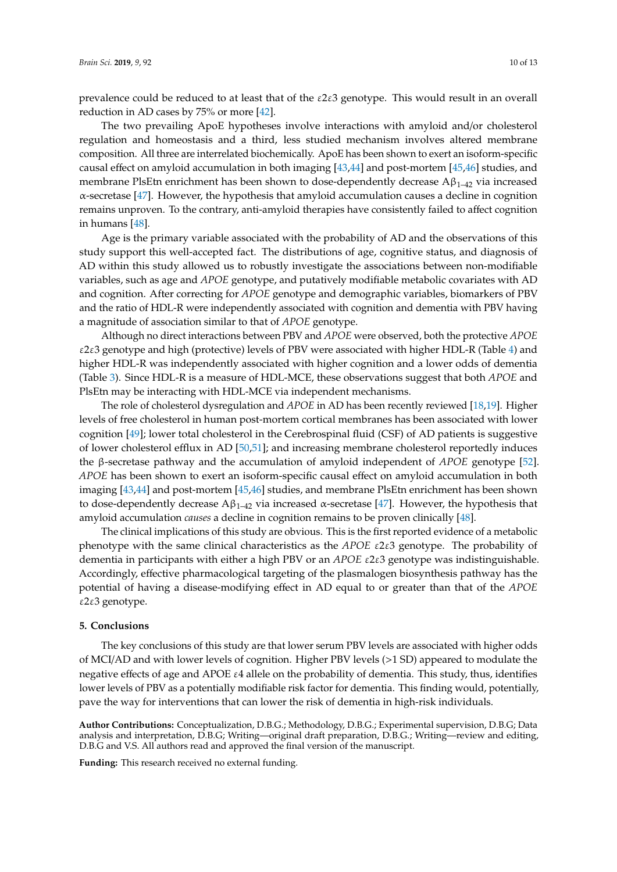prevalence could be reduced to at least that of the  $\epsilon$ 2 $\epsilon$ 3 genotype. This would result in an overall reduction in AD cases by 75% or more [\[42\]](#page-12-5).

The two prevailing ApoE hypotheses involve interactions with amyloid and/or cholesterol regulation and homeostasis and a third, less studied mechanism involves altered membrane composition. All three are interrelated biochemically. ApoE has been shown to exert an isoform-specific causal effect on amyloid accumulation in both imaging [\[43](#page-12-6)[,44\]](#page-12-7) and post-mortem [\[45,](#page-12-8)[46\]](#page-12-9) studies, and membrane PlsEtn enrichment has been shown to dose-dependently decrease  $A\beta_{1-42}$  via increased α-secretase [\[47\]](#page-12-10). However, the hypothesis that amyloid accumulation causes a decline in cognition remains unproven. To the contrary, anti-amyloid therapies have consistently failed to affect cognition in humans [\[48\]](#page-12-11).

Age is the primary variable associated with the probability of AD and the observations of this study support this well-accepted fact. The distributions of age, cognitive status, and diagnosis of AD within this study allowed us to robustly investigate the associations between non-modifiable variables, such as age and *APOE* genotype, and putatively modifiable metabolic covariates with AD and cognition. After correcting for *APOE* genotype and demographic variables, biomarkers of PBV and the ratio of HDL-R were independently associated with cognition and dementia with PBV having a magnitude of association similar to that of *APOE* genotype.

Although no direct interactions between PBV and *APOE* were observed, both the protective *APOE* ε2ε3 genotype and high (protective) levels of PBV were associated with higher HDL-R (Table [4\)](#page-8-1) and higher HDL-R was independently associated with higher cognition and a lower odds of dementia (Table [3\)](#page-5-0). Since HDL-R is a measure of HDL-MCE, these observations suggest that both *APOE* and PlsEtn may be interacting with HDL-MCE via independent mechanisms.

The role of cholesterol dysregulation and *APOE* in AD has been recently reviewed [\[18](#page-11-0)[,19\]](#page-11-1). Higher levels of free cholesterol in human post-mortem cortical membranes has been associated with lower cognition [\[49\]](#page-12-12); lower total cholesterol in the Cerebrospinal fluid (CSF) of AD patients is suggestive of lower cholesterol efflux in AD [\[50,](#page-12-13)[51\]](#page-12-14); and increasing membrane cholesterol reportedly induces the β-secretase pathway and the accumulation of amyloid independent of *APOE* genotype [\[52\]](#page-12-15). *APOE* has been shown to exert an isoform-specific causal effect on amyloid accumulation in both imaging [\[43](#page-12-6)[,44\]](#page-12-7) and post-mortem [\[45](#page-12-8)[,46\]](#page-12-9) studies, and membrane PlsEtn enrichment has been shown to dose-dependently decrease  $A\beta_{1-42}$  via increased α-secretase [\[47\]](#page-12-10). However, the hypothesis that amyloid accumulation *causes* a decline in cognition remains to be proven clinically [\[48\]](#page-12-11).

The clinical implications of this study are obvious. This is the first reported evidence of a metabolic phenotype with the same clinical characteristics as the *APOE* ε2ε3 genotype. The probability of dementia in participants with either a high PBV or an *APOE* ε2ε3 genotype was indistinguishable. Accordingly, effective pharmacological targeting of the plasmalogen biosynthesis pathway has the potential of having a disease-modifying effect in AD equal to or greater than that of the *APOE* ε2ε3 genotype.

#### **5. Conclusions**

The key conclusions of this study are that lower serum PBV levels are associated with higher odds of MCI/AD and with lower levels of cognition. Higher PBV levels (>1 SD) appeared to modulate the negative effects of age and APOE  $\varepsilon$ 4 allele on the probability of dementia. This study, thus, identifies lower levels of PBV as a potentially modifiable risk factor for dementia. This finding would, potentially, pave the way for interventions that can lower the risk of dementia in high-risk individuals.

**Author Contributions:** Conceptualization, D.B.G.; Methodology, D.B.G.; Experimental supervision, D.B.G; Data analysis and interpretation, D.B.G; Writing—original draft preparation, D.B.G.; Writing—review and editing, D.B.G and V.S. All authors read and approved the final version of the manuscript.

**Funding:** This research received no external funding.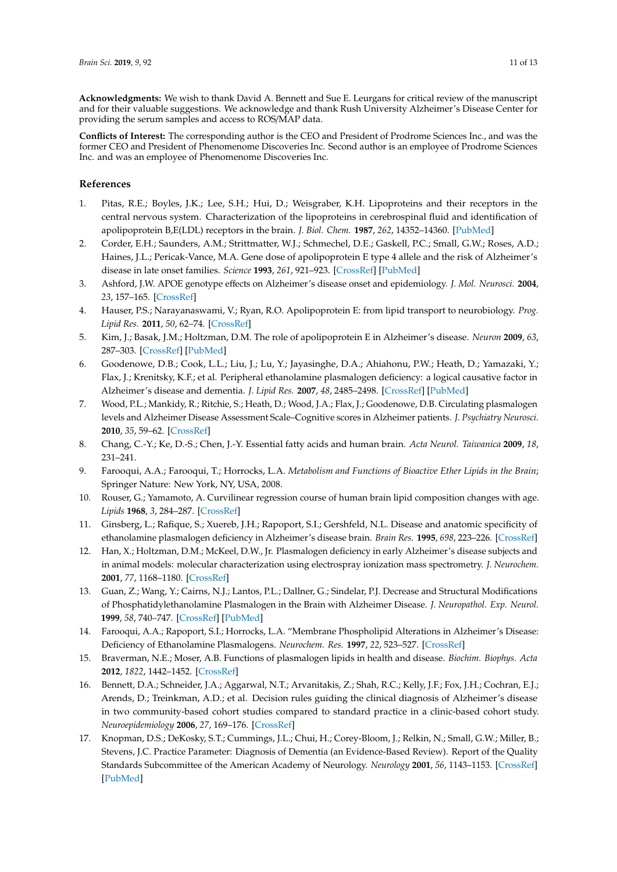**Acknowledgments:** We wish to thank David A. Bennett and Sue E. Leurgans for critical review of the manuscript and for their valuable suggestions. We acknowledge and thank Rush University Alzheimer's Disease Center for providing the serum samples and access to ROS/MAP data.

**Conflicts of Interest:** The corresponding author is the CEO and President of Prodrome Sciences Inc., and was the former CEO and President of Phenomenome Discoveries Inc. Second author is an employee of Prodrome Sciences Inc. and was an employee of Phenomenome Discoveries Inc.

## **References**

- <span id="page-10-0"></span>1. Pitas, R.E.; Boyles, J.K.; Lee, S.H.; Hui, D.; Weisgraber, K.H. Lipoproteins and their receptors in the central nervous system. Characterization of the lipoproteins in cerebrospinal fluid and identification of apolipoprotein B,E(LDL) receptors in the brain. *J. Biol. Chem.* **1987**, *262*, 14352–14360. [\[PubMed\]](http://www.ncbi.nlm.nih.gov/pubmed/3115992)
- <span id="page-10-1"></span>2. Corder, E.H.; Saunders, A.M.; Strittmatter, W.J.; Schmechel, D.E.; Gaskell, P.C.; Small, G.W.; Roses, A.D.; Haines, J.L.; Pericak-Vance, M.A. Gene dose of apolipoprotein E type 4 allele and the risk of Alzheimer's disease in late onset families. *Science* **1993**, *261*, 921–923. [\[CrossRef\]](http://dx.doi.org/10.1126/science.8346443) [\[PubMed\]](http://www.ncbi.nlm.nih.gov/pubmed/8346443)
- <span id="page-10-2"></span>3. Ashford, J.W. APOE genotype effects on Alzheimer's disease onset and epidemiology. *J. Mol. Neurosci.* **2004**, *23*, 157–165. [\[CrossRef\]](http://dx.doi.org/10.1385/JMN:23:3:157)
- <span id="page-10-3"></span>4. Hauser, P.S.; Narayanaswami, V.; Ryan, R.O. Apolipoprotein E: from lipid transport to neurobiology. *Prog. Lipid Res.* **2011**, *50*, 62–74. [\[CrossRef\]](http://dx.doi.org/10.1016/j.plipres.2010.09.001)
- <span id="page-10-4"></span>5. Kim, J.; Basak, J.M.; Holtzman, D.M. The role of apolipoprotein E in Alzheimer's disease. *Neuron* **2009**, *63*, 287–303. [\[CrossRef\]](http://dx.doi.org/10.1016/j.neuron.2009.06.026) [\[PubMed\]](http://www.ncbi.nlm.nih.gov/pubmed/19679070)
- <span id="page-10-5"></span>6. Goodenowe, D.B.; Cook, L.L.; Liu, J.; Lu, Y.; Jayasinghe, D.A.; Ahiahonu, P.W.; Heath, D.; Yamazaki, Y.; Flax, J.; Krenitsky, K.F.; et al. Peripheral ethanolamine plasmalogen deficiency: a logical causative factor in Alzheimer's disease and dementia. *J. Lipid Res.* **2007**, *48*, 2485–2498. [\[CrossRef\]](http://dx.doi.org/10.1194/jlr.P700023-JLR200) [\[PubMed\]](http://www.ncbi.nlm.nih.gov/pubmed/17664527)
- <span id="page-10-6"></span>7. Wood, P.L.; Mankidy, R.; Ritchie, S.; Heath, D.; Wood, J.A.; Flax, J.; Goodenowe, D.B. Circulating plasmalogen levels and Alzheimer Disease Assessment Scale–Cognitive scores in Alzheimer patients. *J. Psychiatry Neurosci.* **2010**, *35*, 59–62. [\[CrossRef\]](http://dx.doi.org/10.1503/jpn.090059)
- <span id="page-10-7"></span>8. Chang, C.-Y.; Ke, D.-S.; Chen, J.-Y. Essential fatty acids and human brain. *Acta Neurol. Taiwanica* **2009**, *18*, 231–241.
- <span id="page-10-8"></span>9. Farooqui, A.A.; Farooqui, T.; Horrocks, L.A. *Metabolism and Functions of Bioactive Ether Lipids in the Brain*; Springer Nature: New York, NY, USA, 2008.
- <span id="page-10-9"></span>10. Rouser, G.; Yamamoto, A. Curvilinear regression course of human brain lipid composition changes with age. *Lipids* **1968**, *3*, 284–287. [\[CrossRef\]](http://dx.doi.org/10.1007/BF02531202)
- <span id="page-10-10"></span>11. Ginsberg, L.; Rafique, S.; Xuereb, J.H.; Rapoport, S.I.; Gershfeld, N.L. Disease and anatomic specificity of ethanolamine plasmalogen deficiency in Alzheimer's disease brain. *Brain Res.* **1995**, *698*, 223–226. [\[CrossRef\]](http://dx.doi.org/10.1016/0006-8993(95)00931-F)
- <span id="page-10-16"></span>12. Han, X.; Holtzman, D.M.; McKeel, D.W., Jr. Plasmalogen deficiency in early Alzheimer's disease subjects and in animal models: molecular characterization using electrospray ionization mass spectrometry. *J. Neurochem.* **2001**, *77*, 1168–1180. [\[CrossRef\]](http://dx.doi.org/10.1046/j.1471-4159.2001.00332.x)
- <span id="page-10-12"></span>13. Guan, Z.; Wang, Y.; Cairns, N.J.; Lantos, P.L.; Dallner, G.; Sindelar, P.J. Decrease and Structural Modifications of Phosphatidylethanolamine Plasmalogen in the Brain with Alzheimer Disease. *J. Neuropathol. Exp. Neurol.* **1999**, *58*, 740–747. [\[CrossRef\]](http://dx.doi.org/10.1097/00005072-199907000-00008) [\[PubMed\]](http://www.ncbi.nlm.nih.gov/pubmed/10411344)
- <span id="page-10-11"></span>14. Farooqui, A.A.; Rapoport, S.I.; Horrocks, L.A. "Membrane Phospholipid Alterations in Alzheimer's Disease: Deficiency of Ethanolamine Plasmalogens. *Neurochem. Res.* **1997**, *22*, 523–527. [\[CrossRef\]](http://dx.doi.org/10.1023/A:1027380331807)
- <span id="page-10-13"></span>15. Braverman, N.E.; Moser, A.B. Functions of plasmalogen lipids in health and disease. *Biochim. Biophys. Acta* **2012**, *1822*, 1442–1452. [\[CrossRef\]](http://dx.doi.org/10.1016/j.bbadis.2012.05.008)
- <span id="page-10-14"></span>16. Bennett, D.A.; Schneider, J.A.; Aggarwal, N.T.; Arvanitakis, Z.; Shah, R.C.; Kelly, J.F.; Fox, J.H.; Cochran, E.J.; Arends, D.; Treinkman, A.D.; et al. Decision rules guiding the clinical diagnosis of Alzheimer's disease in two community-based cohort studies compared to standard practice in a clinic-based cohort study. *Neuroepidemiology* **2006**, *27*, 169–176. [\[CrossRef\]](http://dx.doi.org/10.1159/000096129)
- <span id="page-10-15"></span>17. Knopman, D.S.; DeKosky, S.T.; Cummings, J.L.; Chui, H.; Corey-Bloom, J.; Relkin, N.; Small, G.W.; Miller, B.; Stevens, J.C. Practice Parameter: Diagnosis of Dementia (an Evidence-Based Review). Report of the Quality Standards Subcommittee of the American Academy of Neurology. *Neurology* **2001**, *56*, 1143–1153. [\[CrossRef\]](http://dx.doi.org/10.1212/WNL.56.9.1143) [\[PubMed\]](http://www.ncbi.nlm.nih.gov/pubmed/11342678)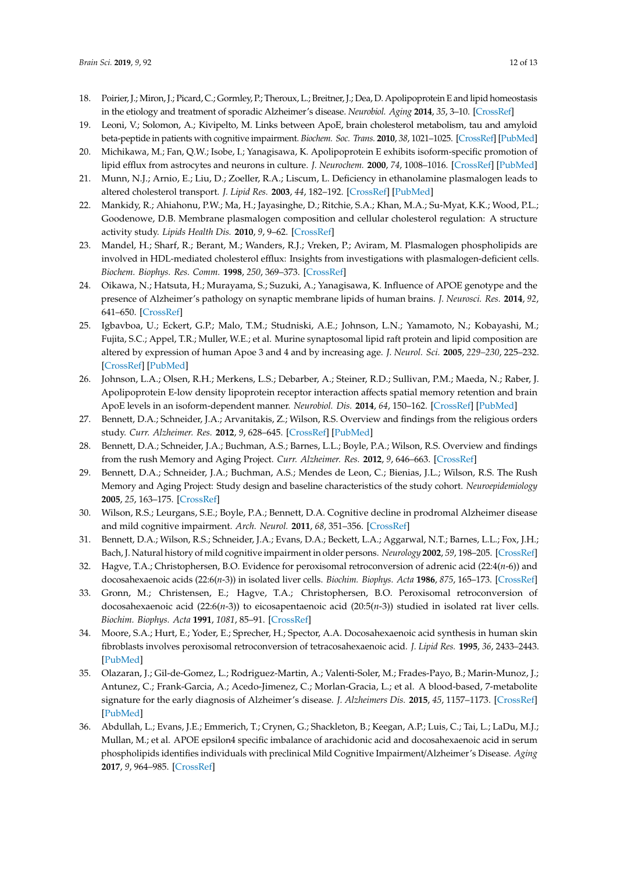- <span id="page-11-0"></span>18. Poirier, J.; Miron, J.; Picard, C.; Gormley, P.; Theroux, L.; Breitner, J.; Dea, D. Apolipoprotein E and lipid homeostasis in the etiology and treatment of sporadic Alzheimer's disease. *Neurobiol. Aging* **2014**, *35*, 3–10. [\[CrossRef\]](http://dx.doi.org/10.1016/j.neurobiolaging.2014.03.037)
- <span id="page-11-1"></span>19. Leoni, V.; Solomon, A.; Kivipelto, M. Links between ApoE, brain cholesterol metabolism, tau and amyloid beta-peptide in patients with cognitive impairment. *Biochem. Soc. Trans.* **2010**, *38*, 1021–1025. [\[CrossRef\]](http://dx.doi.org/10.1042/BST0381021) [\[PubMed\]](http://www.ncbi.nlm.nih.gov/pubmed/20658997)
- <span id="page-11-2"></span>20. Michikawa, M.; Fan, Q.W.; Isobe, I.; Yanagisawa, K. Apolipoprotein E exhibits isoform-specific promotion of lipid efflux from astrocytes and neurons in culture. *J. Neurochem.* **2000**, *74*, 1008–1016. [\[CrossRef\]](http://dx.doi.org/10.1046/j.1471-4159.2000.0741008.x) [\[PubMed\]](http://www.ncbi.nlm.nih.gov/pubmed/10693931)
- <span id="page-11-3"></span>21. Munn, N.J.; Arnio, E.; Liu, D.; Zoeller, R.A.; Liscum, L. Deficiency in ethanolamine plasmalogen leads to altered cholesterol transport. *J. Lipid Res.* **2003**, *44*, 182–192. [\[CrossRef\]](http://dx.doi.org/10.1194/jlr.M200363-JLR200) [\[PubMed\]](http://www.ncbi.nlm.nih.gov/pubmed/12518037)
- <span id="page-11-4"></span>22. Mankidy, R.; Ahiahonu, P.W.; Ma, H.; Jayasinghe, D.; Ritchie, S.A.; Khan, M.A.; Su-Myat, K.K.; Wood, P.L.; Goodenowe, D.B. Membrane plasmalogen composition and cellular cholesterol regulation: A structure activity study. *Lipids Health Dis.* **2010**, *9*, 9–62. [\[CrossRef\]](http://dx.doi.org/10.1186/1476-511X-9-62)
- <span id="page-11-5"></span>23. Mandel, H.; Sharf, R.; Berant, M.; Wanders, R.J.; Vreken, P.; Aviram, M. Plasmalogen phospholipids are involved in HDL-mediated cholesterol efflux: Insights from investigations with plasmalogen-deficient cells. *Biochem. Biophys. Res. Comm.* **1998**, *250*, 369–373. [\[CrossRef\]](http://dx.doi.org/10.1006/bbrc.1998.9321)
- <span id="page-11-6"></span>24. Oikawa, N.; Hatsuta, H.; Murayama, S.; Suzuki, A.; Yanagisawa, K. Influence of APOE genotype and the presence of Alzheimer's pathology on synaptic membrane lipids of human brains. *J. Neurosci. Res.* **2014**, *92*, 641–650. [\[CrossRef\]](http://dx.doi.org/10.1002/jnr.23341)
- <span id="page-11-7"></span>25. Igbavboa, U.; Eckert, G.P.; Malo, T.M.; Studniski, A.E.; Johnson, L.N.; Yamamoto, N.; Kobayashi, M.; Fujita, S.C.; Appel, T.R.; Muller, W.E.; et al. Murine synaptosomal lipid raft protein and lipid composition are altered by expression of human Apoe 3 and 4 and by increasing age. *J. Neurol. Sci.* **2005**, *229–230*, 225–232. [\[CrossRef\]](http://dx.doi.org/10.1016/j.jns.2004.11.037) [\[PubMed\]](http://www.ncbi.nlm.nih.gov/pubmed/15760644)
- <span id="page-11-8"></span>26. Johnson, L.A.; Olsen, R.H.; Merkens, L.S.; Debarber, A.; Steiner, R.D.; Sullivan, P.M.; Maeda, N.; Raber, J. Apolipoprotein E-low density lipoprotein receptor interaction affects spatial memory retention and brain ApoE levels in an isoform-dependent manner. *Neurobiol. Dis.* **2014**, *64*, 150–162. [\[CrossRef\]](http://dx.doi.org/10.1016/j.nbd.2013.12.016) [\[PubMed\]](http://www.ncbi.nlm.nih.gov/pubmed/24412220)
- <span id="page-11-9"></span>27. Bennett, D.A.; Schneider, J.A.; Arvanitakis, Z.; Wilson, R.S. Overview and findings from the religious orders study. *Curr. Alzheimer. Res.* **2012**, *9*, 628–645. [\[CrossRef\]](http://dx.doi.org/10.2174/156720512801322573) [\[PubMed\]](http://www.ncbi.nlm.nih.gov/pubmed/22471860)
- <span id="page-11-10"></span>28. Bennett, D.A.; Schneider, J.A.; Buchman, A.S.; Barnes, L.L.; Boyle, P.A.; Wilson, R.S. Overview and findings from the rush Memory and Aging Project. *Curr. Alzheimer. Res.* **2012**, *9*, 646–663. [\[CrossRef\]](http://dx.doi.org/10.2174/156720512801322663)
- <span id="page-11-11"></span>29. Bennett, D.A.; Schneider, J.A.; Buchman, A.S.; Mendes de Leon, C.; Bienias, J.L.; Wilson, R.S. The Rush Memory and Aging Project: Study design and baseline characteristics of the study cohort. *Neuroepidemiology* **2005**, *25*, 163–175. [\[CrossRef\]](http://dx.doi.org/10.1159/000087446)
- <span id="page-11-12"></span>30. Wilson, R.S.; Leurgans, S.E.; Boyle, P.A.; Bennett, D.A. Cognitive decline in prodromal Alzheimer disease and mild cognitive impairment. *Arch. Neurol.* **2011**, *68*, 351–356. [\[CrossRef\]](http://dx.doi.org/10.1001/archneurol.2011.31)
- <span id="page-11-13"></span>31. Bennett, D.A.; Wilson, R.S.; Schneider, J.A.; Evans, D.A.; Beckett, L.A.; Aggarwal, N.T.; Barnes, L.L.; Fox, J.H.; Bach, J. Natural history of mild cognitive impairment in older persons. *Neurology* **2002**, *59*, 198–205. [\[CrossRef\]](http://dx.doi.org/10.1212/WNL.59.2.198)
- <span id="page-11-14"></span>32. Hagve, T.A.; Christophersen, B.O. Evidence for peroxisomal retroconversion of adrenic acid (22:4(*n*-6)) and docosahexaenoic acids (22:6(*n*-3)) in isolated liver cells. *Biochim. Biophys. Acta* **1986**, *875*, 165–173. [\[CrossRef\]](http://dx.doi.org/10.1016/0005-2760(86)90165-7)
- <span id="page-11-15"></span>33. Gronn, M.; Christensen, E.; Hagve, T.A.; Christophersen, B.O. Peroxisomal retroconversion of docosahexaenoic acid (22:6(*n*-3)) to eicosapentaenoic acid (20:5(*n*-3)) studied in isolated rat liver cells. *Biochim. Biophys. Acta* **1991**, *1081*, 85–91. [\[CrossRef\]](http://dx.doi.org/10.1016/0005-2760(91)90254-F)
- <span id="page-11-16"></span>34. Moore, S.A.; Hurt, E.; Yoder, E.; Sprecher, H.; Spector, A.A. Docosahexaenoic acid synthesis in human skin fibroblasts involves peroxisomal retroconversion of tetracosahexaenoic acid. *J. Lipid Res.* **1995**, *36*, 2433–2443. [\[PubMed\]](http://www.ncbi.nlm.nih.gov/pubmed/8656081)
- <span id="page-11-17"></span>35. Olazaran, J.; Gil-de-Gomez, L.; Rodriguez-Martin, A.; Valenti-Soler, M.; Frades-Payo, B.; Marin-Munoz, J.; Antunez, C.; Frank-Garcia, A.; Acedo-Jimenez, C.; Morlan-Gracia, L.; et al. A blood-based, 7-metabolite signature for the early diagnosis of Alzheimer's disease. *J. Alzheimers Dis.* **2015**, *45*, 1157–1173. [\[CrossRef\]](http://dx.doi.org/10.3233/JAD-142925) [\[PubMed\]](http://www.ncbi.nlm.nih.gov/pubmed/25649659)
- <span id="page-11-18"></span>36. Abdullah, L.; Evans, J.E.; Emmerich, T.; Crynen, G.; Shackleton, B.; Keegan, A.P.; Luis, C.; Tai, L.; LaDu, M.J.; Mullan, M.; et al. APOE epsilon4 specific imbalance of arachidonic acid and docosahexaenoic acid in serum phospholipids identifies individuals with preclinical Mild Cognitive Impairment/Alzheimer's Disease. *Aging* **2017**, *9*, 964–985. [\[CrossRef\]](http://dx.doi.org/10.18632/aging.101203)